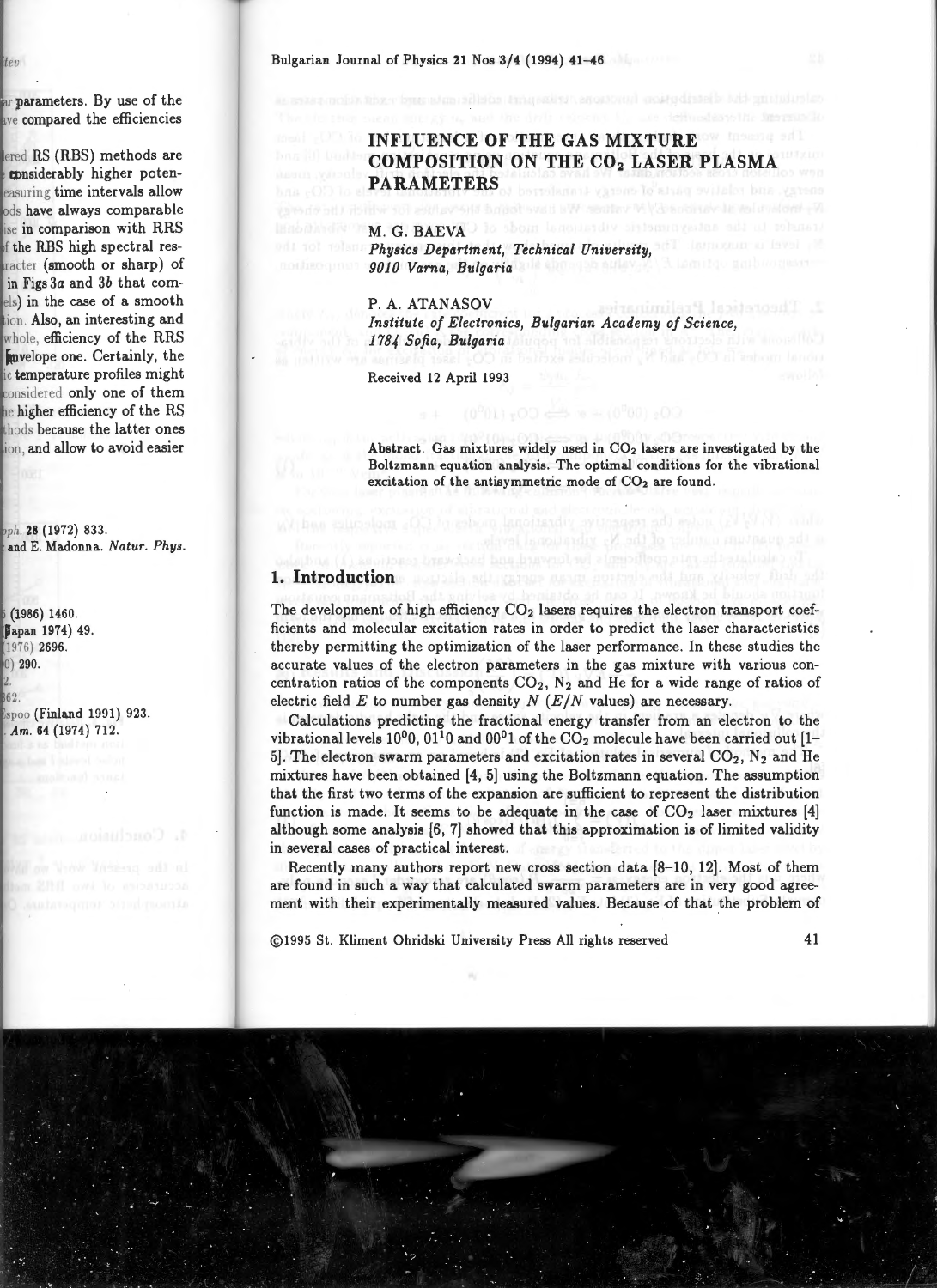# **INFLUENCE OF THE GAS MIXTURE COMPOSITION ON THE CO<sub>2</sub> LASER PLASMA PARAMETERS**

enostorul mostudinteis sub un d

M. G. BAEVA

*Physics Department, Technical University, 9010 Varna, Bulgaria* 

P.A. ATANASOV *Institute of Electronics, Bulgarian Academy of Science, 1784 Sofia, Bulgaria* 

Received 12 April 1993

Abstract. Gas mixtures widely used in  $CO<sub>2</sub>$  lasers are investigated by the Boltzmann equation analysis. The optimal conditions for the vibrational excitation of the antisymmetric mode of  $CO<sub>2</sub>$  are found.

## **1. Introduction**

The development of high efficiency  $CO<sub>2</sub>$  lasers requires the electron transport coefficients and molecular excitation rates in order to predict the laser characteristics thereby permitting the optimization of the laser performance . In these studies the accurate values of the electron parameters in the gas mixture with various concentration ratios of the components  $CO<sub>2</sub>$ , N<sub>2</sub> and He for a wide range of ratios of electric field *E* to number gas density *N (E/N* values) are necessary.

Calculations predicting the fractional energy transfer from an electron to the vibrational levels  $10^{0}0$ ,  $01^{1}0$  and  $00^{0}1$  of the CO<sub>2</sub> molecule have been carried out [1-5]. The electron swarm parameters and excitation rates in several  $CO_2$ ,  $N_2$  and He mixtures have been obtained (4, 5] using the Boltzmann equation. The assumption that the first two terms of the expansion are sufficient to represent the distribution function is made. It seems to be adequate in the case of  $CO<sub>2</sub>$  laser mixtures [4] although some analysis (6, 7] showed that this approximation is of limited validity in several cases of practical interest.

Recently many authors report new cross section data  $[8-10, 12]$ . Most of them are found in such a way that calculated swarm parameters are in very good agreement with their experimentally measured values. Because of that the problem of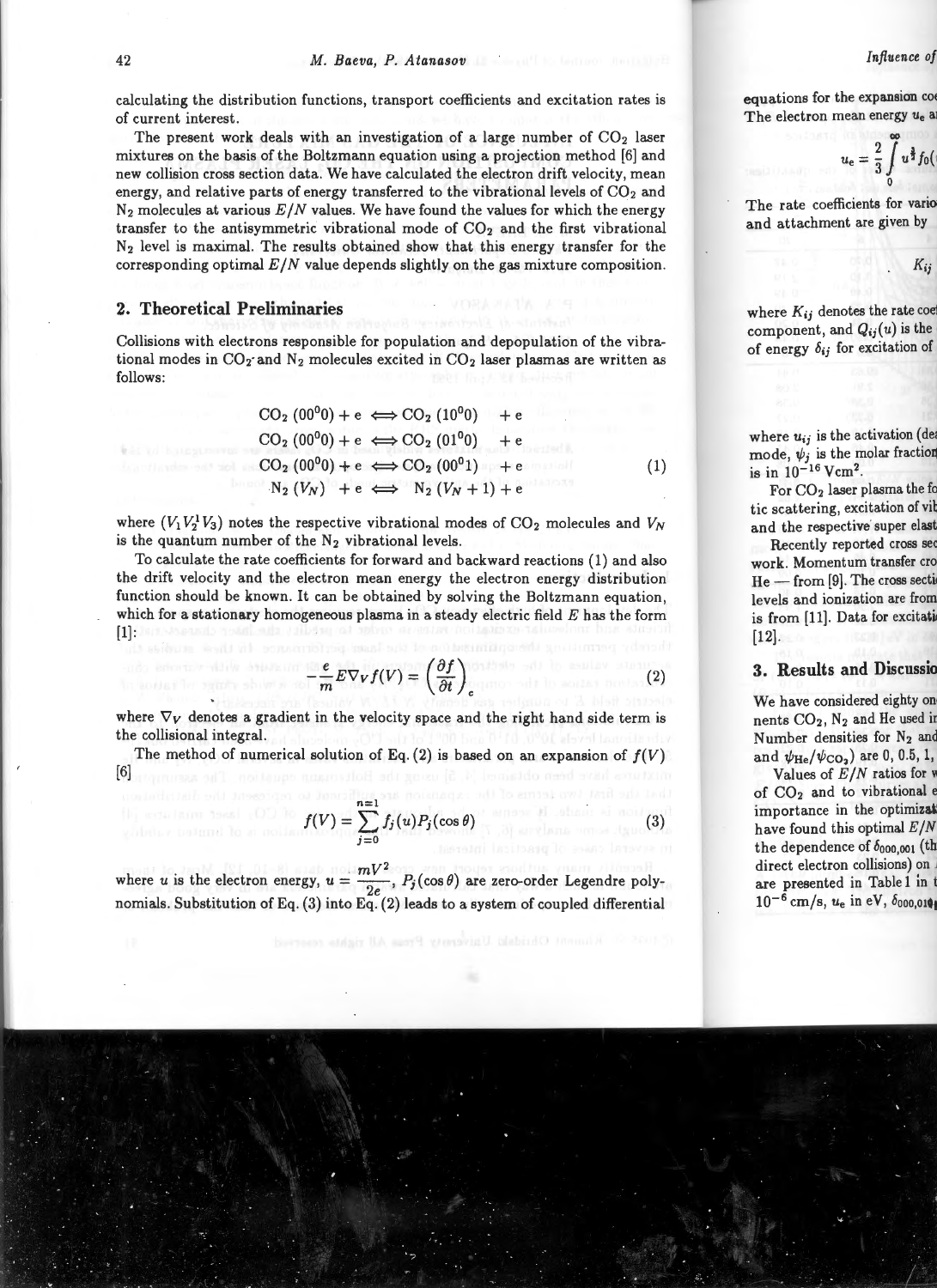calculating the distribution functions, transport coefficients and excitation rates is of current interest.

The present work deals with an investigation of a large number of  $CO<sub>2</sub>$  laser mixtures on the basis of the Boltzmann equation using a projection method [6] and new collision cross section data. We have calculated the electron drift velocity, mean energy, and relative parts of energy transferred to the vibrational levels of  $CO<sub>2</sub>$  and  $N_2$  molecules at various  $E/N$  values. We have found the values for which the energy transfer to the antisymmetric vibrational mode of  $CO<sub>2</sub>$  and the first vibrational  $N<sub>2</sub>$  level is maximal. The results obtained show that this energy transfer for the corresponding optimal  $E/N$  value depends slightly on the gas mixture composition.

## **2. Theoretical Preliminaries**

Collisions with electrons responsible for population and depopulation of the vibrational modes in  $CO_2$  and  $N_2$  molecules excited in  $CO_2$  laser plasmas are written as follows:

| $CO_2 (00^00) + e \iff CO_2 (10^00)$   | $+e$ |     |
|----------------------------------------|------|-----|
| $CO_2(00^00) + e \iff CO_2(01^00) + e$ |      |     |
| $CO_2(00^0) + e \iff CO_2(00^0) + e$   |      | (1) |
| $N_2(V_N)$ + e $\iff N_2(V_N + 1)$ + e |      |     |

where  $(V_1 V_2^1 V_3)$  notes the respective vibrational modes of  $CO_2$  molecules and  $V_N$ is the quantum number of the  $N_2$  vibrational levels.

To calculate the rate coefficients for forward and backward reactions (1) and also the drift velocity and the electron mean energy the electron energy distribution function should be known. It can be obtained by solving the Boltzmann equation, which for a stationary homogeneous plasma in a steady electric field *E* has the form  $[1]$ :

$$
-\frac{e}{m}E\nabla_V f(V) = \left(\frac{\partial f}{\partial t}\right)_c
$$
 (2)

where  $\nabla_V$  denotes a gradient in the velocity space and the right hand side term is the collisional integral.

[6] The method of numerical solution of Eq. (2) is based on an expansion of  $f(V)$ 

$$
f(V) = \sum_{j=0}^{n=1} f_j(u) P_j(\cos \theta)
$$
 (3)

. *mV2*  where *u* is the electron energy,  $u = \frac{mV^2}{2e}$ ,  $P_j(\cos \theta)$  are zero-order Legendre polynomials. Substitution of Eq. (3) into Eq. (2) leads to a system of coupled differential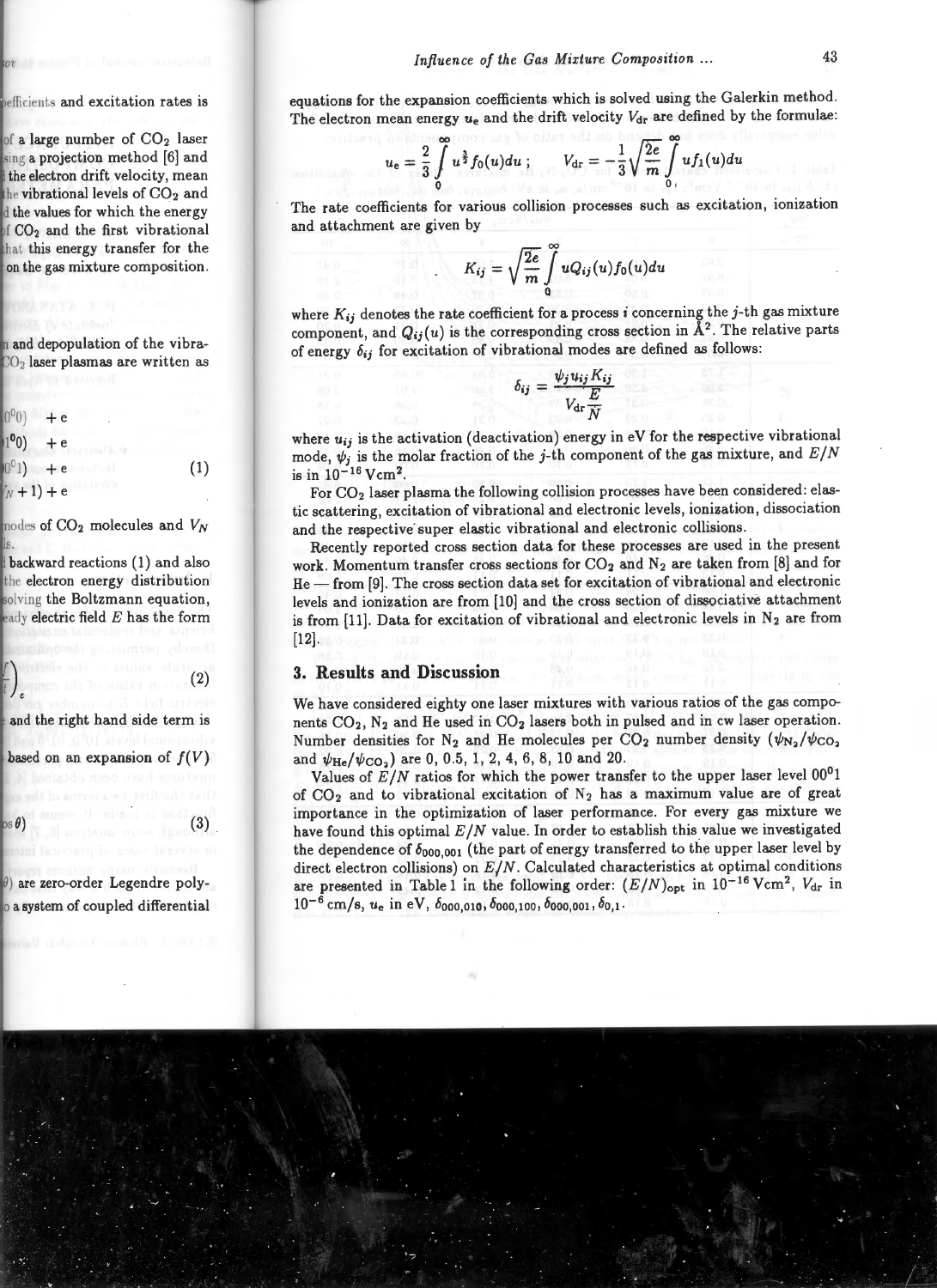equations for the expansion coefficients which is solved using the Galerkin method. The electron mean energy  $u_e$  and the drift velocity  $V_{dr}$  are defined by the formulae:

$$
u_{e} = \frac{2}{3} \int_{0}^{\infty} u^{\frac{3}{2}} f_{0}(u) du ; \qquad V_{dr} = -\frac{1}{3} \sqrt{\frac{2e}{m}} \int_{0}^{\infty} u f_{1}(u) du
$$

The rate coefficients for various collision processes such as excitation, ionization and attachment are given by

$$
K_{ij} = \sqrt{\frac{2e}{m}} \int\limits_{0}^{\infty} uQ_{ij}(u) f_0(u) du
$$

where  $K_{ij}$  denotes the rate coefficient for a process i concerning the j-th gas mixture component, and  $Q_{ij}(u)$  is the corresponding cross section in  $\AA^2$ . The relative parts of energy  $\delta_{ij}$  for excitation of vibrational modes are defined as follows:

$$
\delta_{ij} = \frac{\psi_j u_{ij} K_{ij}}{V_{\rm dr} \frac{E}{N}}
$$

where  $u_{ij}$  is the activation (deactivation) energy in eV for the respective vibrational mode,  $\psi_i$  is the molar fraction of the j-th component of the gas mixture, and  $E/N$ is in  $10^{-16}$  Vcm<sup>2</sup>.

For CO<sub>2</sub> laser plasma the following collision processes have been considered: elastic scattering, excitation of vibrational and electronic levels, ionization, dissociation and the respective super elastic vibrational and electronic collisions.

Recently reported cross section data for these processes are used in the present work. Momentum transfer cross sections for  $CO_2$  and  $N_2$  are taken from [8] and for He - from [9]. The cross section data set for excitation of vibrational and electronic levels and ionization are from [10] and the cross section of dissociative attachment is from [11]. Data for excitation of vibrational and electronic levels in  $N_2$  are from [12].

## **3. Results and Discussion**

We have considered eighty one laser mixtures with various ratios of the gas components  $CO_2$ ,  $N_2$  and He used in  $CO_2$  lasers both in pulsed and in cw laser operation. Number densities for N<sub>2</sub> and He molecules per CO<sub>2</sub> number density  $(\psi_{N_2}/\psi_{CO_2})$ and  $\psi_{\text{He}}/\psi_{\text{CO}_2}$  are 0, 0.5, 1, 2, 4, 6, 8, 10 and 20.

Values of  $E/N$  ratios for which the power transfer to the upper laser level  $00^01$ of  $CO<sub>2</sub>$  and to vibrational excitation of N<sub>2</sub> has a maximum value are of great importance in the optimization of laser performance. For every gas mixture we have found this optimal  $E/N$  value. In order to establish this value we investigated the dependence of  $\delta_{000.001}$  (the part of energy transferred to the upper laser level by direct electron collisions) on  $E/N$ . Calculated characteristics at optimal conditions are presented in Table 1 in the following order:  $(E/N)_{\text{opt}}$  in  $10^{-16}$  Vcm<sup>2</sup>,  $V_{\text{dr}}$  in  $10^{-6}$  cm/s,  $u_e$  in eV,  $\delta_{000,010}$ ,  $\delta_{000,100}$ ,  $\delta_{000,001}$ ,  $\delta_{0,1}$ .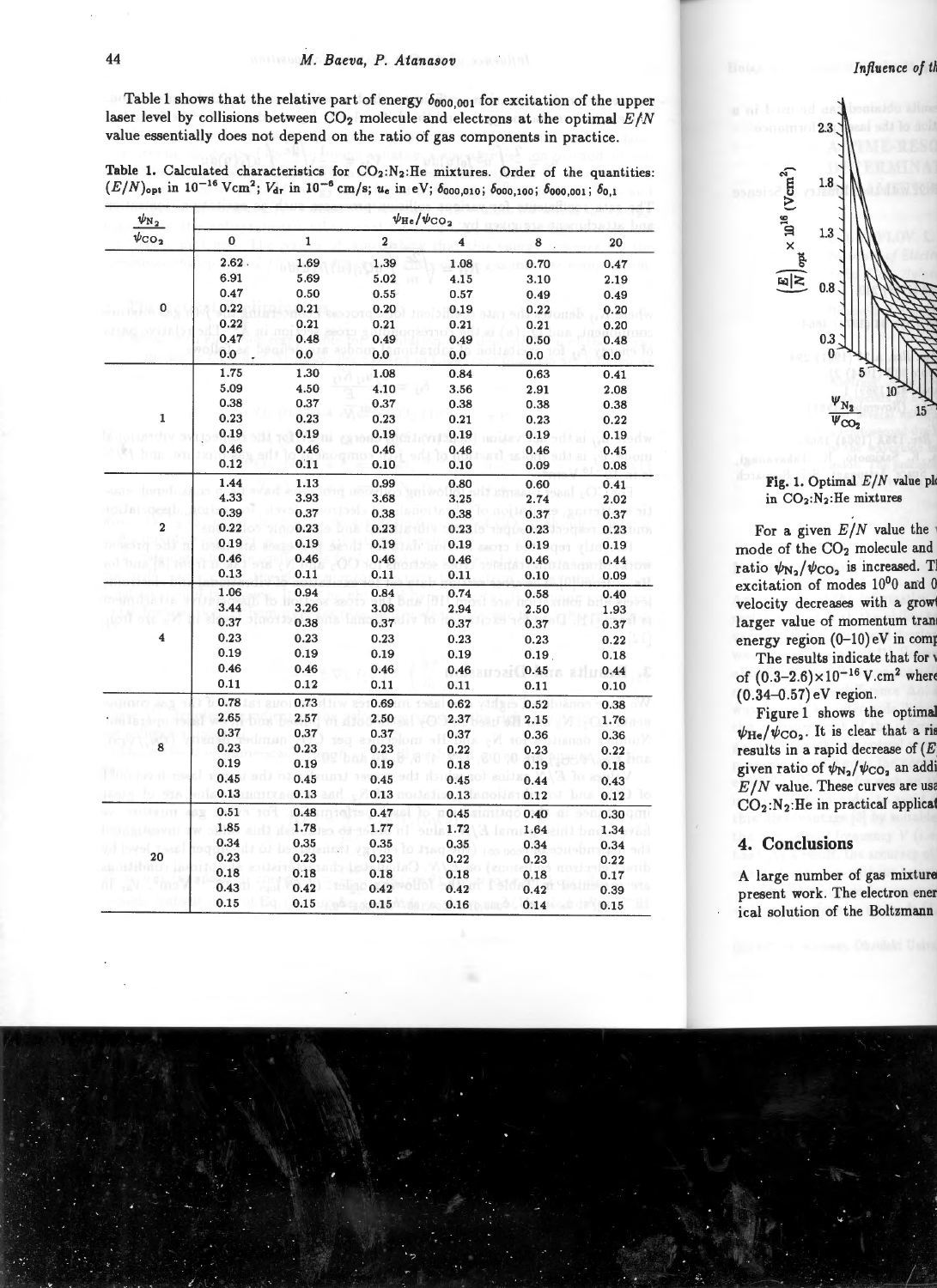Table 1 shows that the relative part of energy  $\delta_{000,001}$  for excitation of the upper laser level by collisions between  $CO<sub>2</sub>$  molecule and electrons at the optimal  $E/N$ value essentially does not depend on the ratio of gas components in practice .

| $\psi_{\rm N_2}$<br>$\psi$ CO <sub>2</sub> | $\psi_{\rm He}/\psi_{\rm CO_2}$ |             |             |      |      |      |  |
|--------------------------------------------|---------------------------------|-------------|-------------|------|------|------|--|
|                                            | 0                               | $\mathbf 1$ | $\mathbf 2$ | 4    | 8    | 20   |  |
|                                            | 2.62.                           | 1.69        | 1.39        | 1.08 | 0.70 | 0.47 |  |
|                                            | 6.91                            | 5.69        | 5.02        | 4.15 | 3.10 | 2.19 |  |
|                                            | 0.47                            | 0.50        | 0.55        | 0.57 | 0.49 | 0.49 |  |
| 0                                          | 0.22                            | 0.21        | 0.20        | 0.19 | 0.22 | 0.20 |  |
|                                            | 0.22                            | 0.21        | 0.21        | 0.21 | 0.21 | 0.20 |  |
|                                            | 0.47                            | 0.48        | 0.49        | 0.49 | 0.50 | 0.48 |  |
|                                            | 0.0                             | 0.0         | 0.0         | 0.0  | 0.0  | 0.0  |  |
|                                            | 1.75                            | 1.30        | 1.08        | 0.84 | 0.63 | 0.41 |  |
|                                            | 5.09                            | 4.50        | 4.10        | 3.56 | 2.91 | 2.08 |  |
|                                            | 0.38                            | 0.37        | 0.37        | 0.38 | 0.38 | 0.38 |  |
| 1                                          | 0.23                            | 0.23        | 0.23        | 0.21 | 0.23 | 0.22 |  |
|                                            | 0.19                            | 0.19        | 0.19        | 0.19 | 0.19 | 0.19 |  |
|                                            | 0.46                            | 0.46        | 0.46        | 0.46 | 0.46 | 0.45 |  |
|                                            | 0.12                            | 0.11        | 0.10        | 0.10 | 0.09 | 0.08 |  |
|                                            | 1.44                            | 1.13        | 0.99        | 0.80 | 0.60 | 0.41 |  |
|                                            | 4.33                            | 3.93        | 3.68        | 3.25 | 2.74 | 2.02 |  |
|                                            | 0.39                            | 0.37        | 0.38        | 0.38 | 0.37 | 0.37 |  |
| 2                                          | 0.22                            | 0.23        | 0.23        | 0.23 | 0.23 | 0.23 |  |
|                                            | 0.19                            | 0.19        | 0.19        | 0.19 | 0.19 | 0.19 |  |
|                                            | 0.46                            | 0.46        | 0.46        | 0.46 | 0.46 | 0.44 |  |
|                                            | 0.13                            | 0.11        | 0.11        | 0.11 | 0.10 | 0.09 |  |
|                                            | 1.06                            | 0.94        | 0.84        | 0.74 | 0.58 | 0.40 |  |
|                                            | 3.44                            | 3.26        | 3.08        | 2.94 | 2.50 | 1.93 |  |
|                                            | 0.37                            | 0.38        | 0.37        | 0.37 | 0.37 | 0.37 |  |
| 4                                          | 0.23                            | 0.23        | 0.23        | 0.23 | 0.23 | 0.22 |  |
|                                            | 0.19                            | 0.19        | 0.19        | 0.19 | 0.19 | 0.18 |  |
|                                            | 0.46                            | 0.46        | 0.46        | 0.46 | 0.45 | 0.44 |  |
|                                            | 0.11                            | 0.12        | 0.11        | 0.11 | 0.11 | 0.10 |  |
|                                            | 0.78                            | 0.73        | 0.69        | 0.62 | 0.52 | 0.38 |  |
|                                            | 2.65                            | 2.57        | 2.50        | 2.37 | 2.15 | 1.76 |  |
|                                            | 0.37                            | 0.37        | 0.37        | 0.37 | 0.36 | 0.36 |  |
|                                            | 0.23                            | 0.23        | 0.23        | 0.22 | 0.23 | 0.22 |  |
|                                            | 0.19                            | 0.19        | 0.19        | 0.18 | 0.19 | 0.18 |  |
|                                            | 0.45                            | 0.45        | 0.45        | 0.45 | 0.44 | 0.43 |  |
|                                            | 0.13                            | 0.13        | 0.13        | 0.13 | 0.12 | 0.12 |  |
|                                            | 0.51                            | 0.48        | 0.47        | 0.45 | 0.40 | 0.30 |  |
|                                            | 1.85                            | 1.78        | 1.77        | 1.72 | 1.64 | 1.34 |  |
|                                            | 0.34                            | 0.35        | 0.35        | 0.35 | 0.34 | 0.34 |  |
| 20                                         | 0.23                            | 0.23        | 0.23        | 0.22 | 0.23 | 0.22 |  |
|                                            | 0.18                            | 0.18        | 0.18        | 0.18 | 0.18 | 0.17 |  |
|                                            | 0.43                            | 0.42        | 0.42        | 0.42 | 0.42 | 0.39 |  |
|                                            | 0.15                            | 0.15        | 0.15        | 0.16 | 0.14 | 0.15 |  |

Table 1. Calculated characteristics for  $CO_2:N_2:H$ e mixtures. Order of the quantities:  $(E/N)_{\text{opt}}$  in 10<sup>-16</sup> Vcm<sup>2</sup>;  $V_{\text{dr}}$  in 10<sup>-6</sup> cm/s;  $u_{e}$  in eV;  $\delta_{000,010}$ ;  $\delta_{000,100}$ ;  $\delta_{000,001}$ ;  $\delta_{0,1}$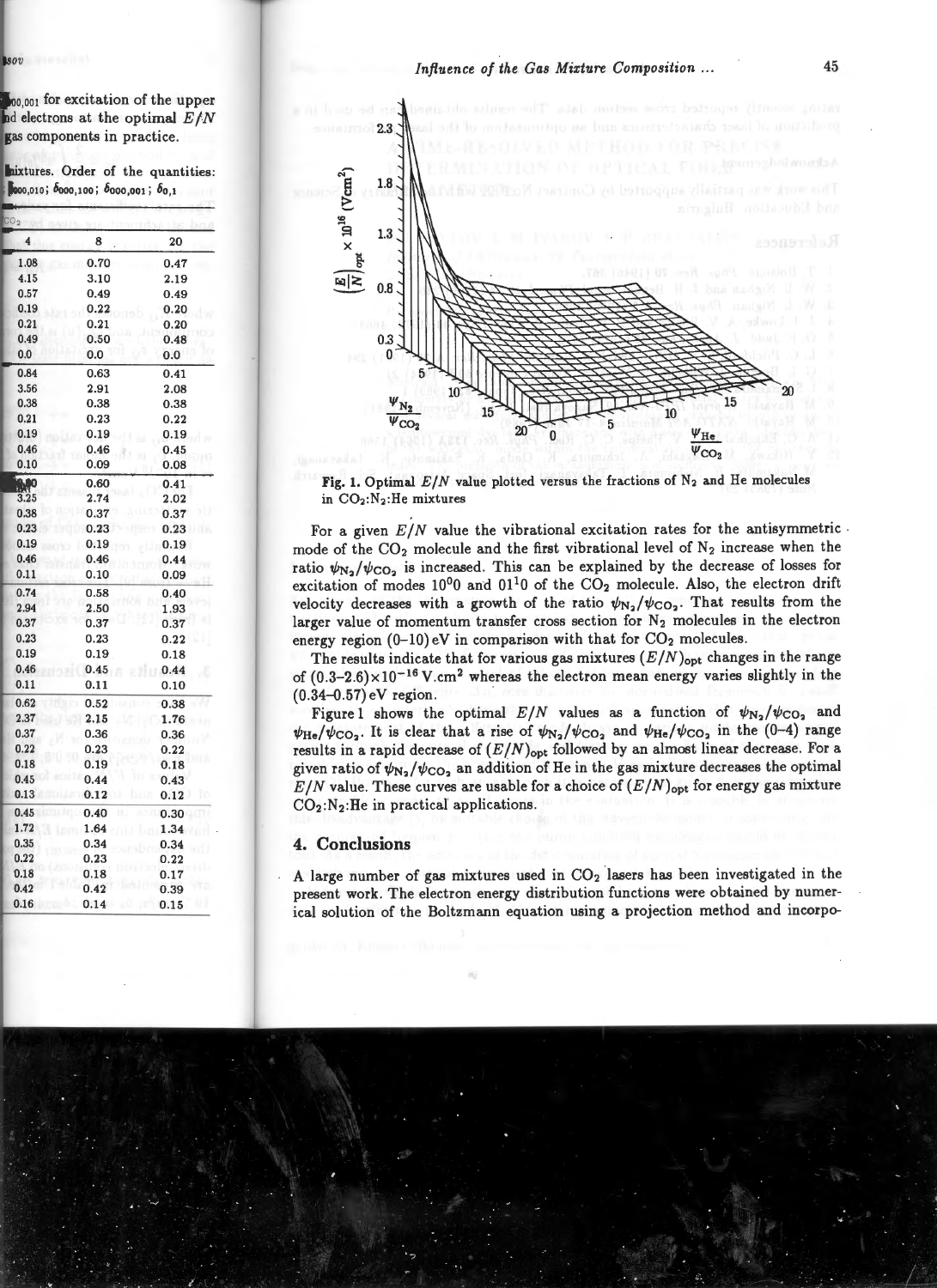#### Influence of the Gas Mixture Composition ...



Fig. 1. Optimal  $E/N$  value plotted versus the fractions of  $N_2$  and He molecules in  $CO<sub>2</sub>:N<sub>2</sub>:He$  mixtures

For a given  $E/N$  value the vibrational excitation rates for the antisymmetric. mode of the  $CO<sub>2</sub>$  molecule and the first vibrational level of  $N<sub>2</sub>$  increase when the ratio  $\psi_{N_2}/\psi_{CO_2}$  is increased. This can be explained by the decrease of losses for excitation of modes  $10^{00}$  and  $01^{10}$  of the CO<sub>2</sub> molecule. Also, the electron drift velocity decreases with a growth of the ratio  $\psi_{N_2}/\psi_{CO_2}$ . That results from the larger value of momentum transfer cross section for  $N_2$  molecules in the electron energy region  $(0-10)$  eV in comparison with that for  $CO<sub>2</sub>$  molecules.

The results indicate that for various gas mixtures  $(E/N)_{\text{oot}}$  changes in the range of  $(0.3-2.6)\times10^{-16}$  V.cm<sup>2</sup> whereas the electron mean energy varies slightly in the  $(0.34 - 0.57)$  eV region.

Figure 1 shows the optimal  $E/N$  values as a function of  $\psi_{N_2}/\psi_{CO_2}$  and  $\psi_{\text{He}}/\psi_{\text{CO}_2}$ . It is clear that a rise of  $\psi_{\text{N}_2}/\psi_{\text{CO}_2}$  and  $\psi_{\text{He}}/\psi_{\text{CO}_2}$  in the (0-4) range results in a rapid decrease of  $(E/N)_{\text{opt}}$  followed by an almost linear decrease. For a given ratio of  $\psi_{N_2}/\psi_{CO_2}$  an addition of He in the gas mixture decreases the optimal  $E/N$  value. These curves are usable for a choice of  $(E/N)_{\text{opt}}$  for energy gas mixture  $CO<sub>2</sub>:N<sub>2</sub>:He$  in practical applications.

## 4. Conclusions

A large number of gas mixtures used in CO<sub>2</sub> lasers has been investigated in the present work. The electron energy distribution functions were obtained by numerical solution of the Boltzmann equation using a projection method and incorpo